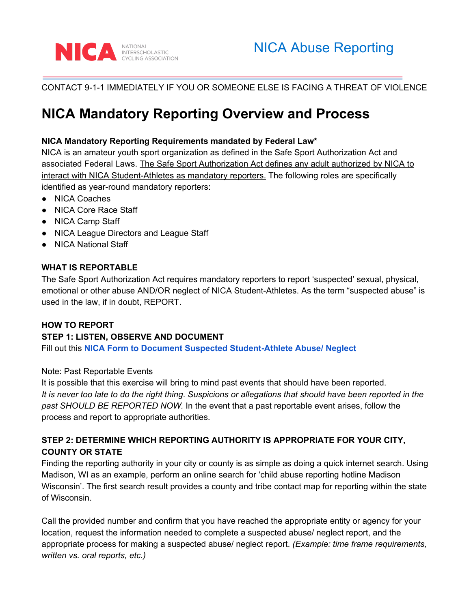

## CONTACT 9-1-1 IMMEDIATELY IF YOU OR SOMEONE ELSE IS FACING A THREAT OF VIOLENCE

# **NICA Mandatory Reporting Overview and Process**

#### **NICA Mandatory Reporting Requirements mandated by Federal Law\***

NICA is an amateur youth sport organization as defined in the Safe Sport Authorization Act and associated Federal Laws. The Safe Sport Authorization Act defines any adult authorized by NICA to interact with NICA Student-Athletes as mandatory reporters. The following roles are specifically identified as year-round mandatory reporters:

- NICA Coaches
- NICA Core Race Staff
- NICA Camp Staff
- NICA League Directors and League Staff
- NICA National Staff

### **WHAT IS REPORTABLE**

The Safe Sport Authorization Act requires mandatory reporters to report 'suspected' sexual, physical, emotional or other abuse AND/OR neglect of NICA Student-Athletes. As the term "suspected abuse" is used in the law, if in doubt, REPORT.

#### **HOW TO REPORT**

## **STEP 1: LISTEN, OBSERVE AND DOCUMENT**

Fill out this **NICA Form to Document Suspected [Student-Athlete](https://docs.google.com/document/d/1L9T71pHqL97lBe5HlDdGgzDe5pv0mVGmr8mkp-C6Bag/edit?usp=sharing) Abuse/ Neglect**

#### Note: Past Reportable Events

It is possible that this exercise will bring to mind past events that should have been reported. It is never too late to do the right thing. Suspicions or allegations that should have been reported in the *past SHOULD BE REPORTED NOW.* In the event that a past reportable event arises, follow the process and report to appropriate authorities.

# **STEP 2: DETERMINE WHICH REPORTING AUTHORITY IS APPROPRIATE FOR YOUR CITY, COUNTY OR STATE**

Finding the reporting authority in your city or county is as simple as doing a quick internet search. Using Madison, WI as an example, perform an online search for 'child abuse reporting hotline Madison Wisconsin'. The first search result provides a county and tribe contact map for reporting within the state of Wisconsin.

Call the provided number and confirm that you have reached the appropriate entity or agency for your location, request the information needed to complete a suspected abuse/ neglect report, and the appropriate process for making a suspected abuse/ neglect report. *(Example: time frame requirements, written vs. oral reports, etc.)*